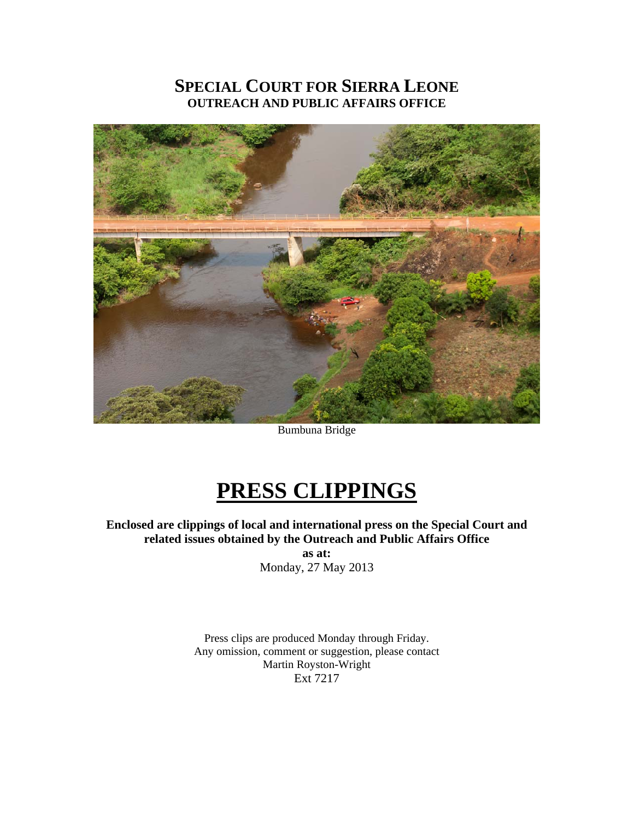# **SPECIAL COURT FOR SIERRA LEONE OUTREACH AND PUBLIC AFFAIRS OFFICE**



Bumbuna Bridge

# **PRESS CLIPPINGS**

**Enclosed are clippings of local and international press on the Special Court and related issues obtained by the Outreach and Public Affairs Office** 

**as at:**  Monday, 27 May 2013

Press clips are produced Monday through Friday. Any omission, comment or suggestion, please contact Martin Royston-Wright Ext 7217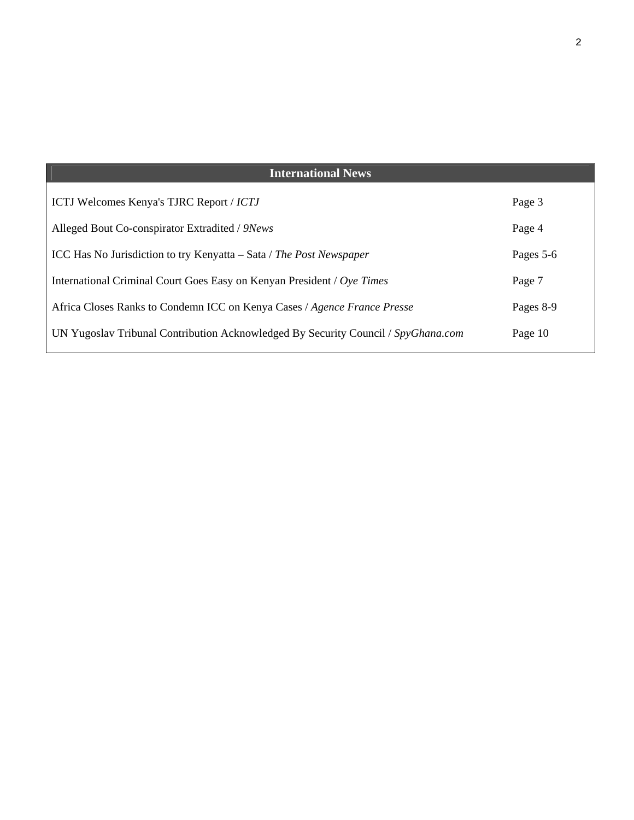| <b>International News</b>                                                         |           |
|-----------------------------------------------------------------------------------|-----------|
| <b>ICTJ Welcomes Kenya's TJRC Report / ICTJ</b>                                   | Page 3    |
| Alleged Bout Co-conspirator Extradited / 9News                                    | Page 4    |
| ICC Has No Jurisdiction to try Kenyatta – Sata / The Post Newspaper               | Pages 5-6 |
| International Criminal Court Goes Easy on Kenyan President / Oye Times            | Page 7    |
| Africa Closes Ranks to Condemn ICC on Kenya Cases / Agence France Presse          | Pages 8-9 |
| UN Yugoslav Tribunal Contribution Acknowledged By Security Council / SpyGhana.com | Page 10   |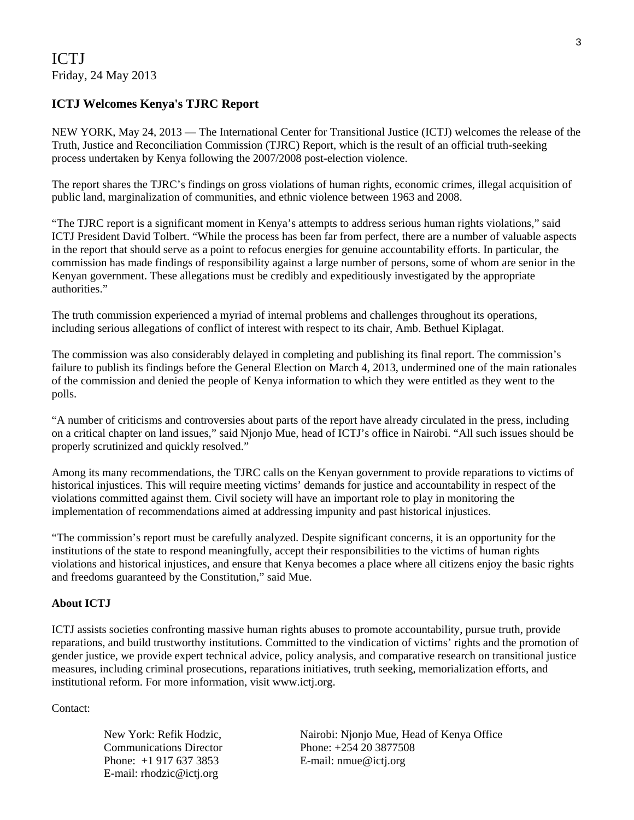### ICTJ Friday, 24 May 2013

### **ICTJ Welcomes Kenya's TJRC Report**

NEW YORK, May 24, 2013 — The International Center for Transitional Justice (ICTJ) welcomes the release of the Truth, Justice and Reconciliation Commission (TJRC) Report, which is the result of an official truth-seeking process undertaken by Kenya following the 2007/2008 post-election violence.

The report shares the TJRC's findings on gross violations of human rights, economic crimes, illegal acquisition of public land, marginalization of communities, and ethnic violence between 1963 and 2008.

"The TJRC report is a significant moment in Kenya's attempts to address serious human rights violations," said ICTJ President David Tolbert. "While the process has been far from perfect, there are a number of valuable aspects in the report that should serve as a point to refocus energies for genuine accountability efforts. In particular, the commission has made findings of responsibility against a large number of persons, some of whom are senior in the Kenyan government. These allegations must be credibly and expeditiously investigated by the appropriate authorities."

The truth commission experienced a myriad of internal problems and challenges throughout its operations, including serious allegations of conflict of interest with respect to its chair, Amb. Bethuel Kiplagat.

The commission was also considerably delayed in completing and publishing its final report. The commission's failure to publish its findings before the General Election on March 4, 2013, undermined one of the main rationales of the commission and denied the people of Kenya information to which they were entitled as they went to the polls.

"A number of criticisms and controversies about parts of the report have already circulated in the press, including on a critical chapter on land issues," said Njonjo Mue, head of ICTJ's office in Nairobi. "All such issues should be properly scrutinized and quickly resolved."

Among its many recommendations, the TJRC calls on the Kenyan government to provide reparations to victims of historical injustices. This will require meeting victims' demands for justice and accountability in respect of the violations committed against them. Civil society will have an important role to play in monitoring the implementation of recommendations aimed at addressing impunity and past historical injustices.

"The commission's report must be carefully analyzed. Despite significant concerns, it is an opportunity for the institutions of the state to respond meaningfully, accept their responsibilities to the victims of human rights violations and historical injustices, and ensure that Kenya becomes a place where all citizens enjoy the basic rights and freedoms guaranteed by the Constitution," said Mue.

### **About ICTJ**

ICTJ assists societies confronting massive human rights abuses to promote accountability, pursue truth, provide reparations, and build trustworthy institutions. Committed to the vindication of victims' rights and the promotion of gender justice, we provide expert technical advice, policy analysis, and comparative research on transitional justice measures, including criminal prosecutions, reparations initiatives, truth seeking, memorialization efforts, and institutional reform. For more information, visit www.ictj.org.

Contact:

New York: Refik Hodzic, Communications Director Phone: +1 917 637 3853 E-mail: rhodzic@ictj.org

Nairobi: Njonjo Mue, Head of Kenya Office Phone: +254 20 3877508 E-mail: nmue@ictj.org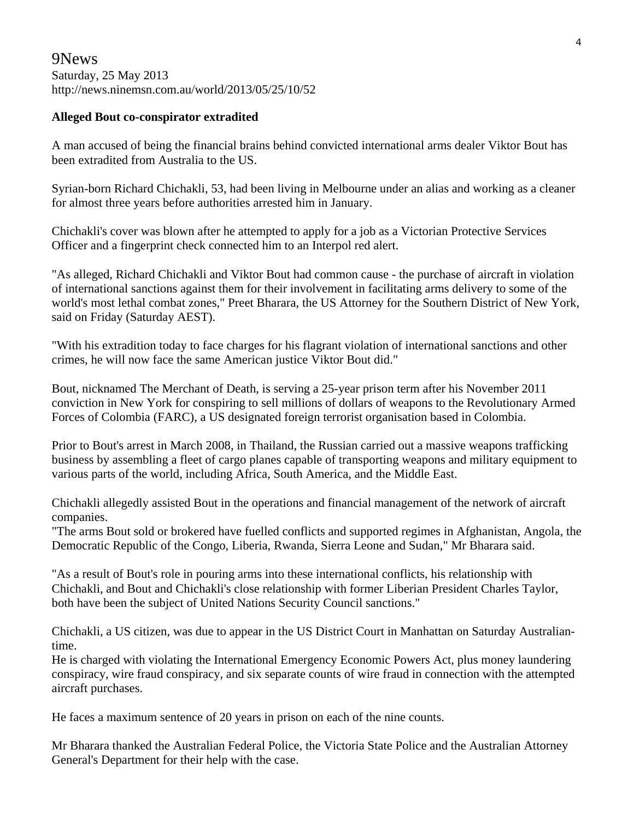### 9News Saturday, 25 May 2013 http://news.ninemsn.com.au/world/2013/05/25/10/52

### **Alleged Bout co-conspirator extradited**

A man accused of being the financial brains behind convicted international arms dealer Viktor Bout has been extradited from Australia to the US.

Syrian-born Richard Chichakli, 53, had been living in Melbourne under an alias and working as a cleaner for almost three years before authorities arrested him in January.

Chichakli's cover was blown after he attempted to apply for a job as a Victorian Protective Services Officer and a fingerprint check connected him to an Interpol red alert.

"As alleged, Richard Chichakli and Viktor Bout had common cause - the purchase of aircraft in violation of international sanctions against them for their involvement in facilitating arms delivery to some of the world's most lethal combat zones," Preet Bharara, the US Attorney for the Southern District of New York, said on Friday (Saturday AEST).

"With his extradition today to face charges for his flagrant violation of international sanctions and other crimes, he will now face the same American justice Viktor Bout did."

Bout, nicknamed The Merchant of Death, is serving a 25-year prison term after his November 2011 conviction in New York for conspiring to sell millions of dollars of weapons to the Revolutionary Armed Forces of Colombia (FARC), a US designated foreign terrorist organisation based in Colombia.

Prior to Bout's arrest in March 2008, in Thailand, the Russian carried out a massive weapons trafficking business by assembling a fleet of cargo planes capable of transporting weapons and military equipment to various parts of the world, including Africa, South America, and the Middle East.

Chichakli allegedly assisted Bout in the operations and financial management of the network of aircraft companies.

"The arms Bout sold or brokered have fuelled conflicts and supported regimes in Afghanistan, Angola, the Democratic Republic of the Congo, Liberia, Rwanda, Sierra Leone and Sudan," Mr Bharara said.

"As a result of Bout's role in pouring arms into these international conflicts, his relationship with Chichakli, and Bout and Chichakli's close relationship with former Liberian President Charles Taylor, both have been the subject of United Nations Security Council sanctions."

Chichakli, a US citizen, was due to appear in the US District Court in Manhattan on Saturday Australiantime.

He is charged with violating the International Emergency Economic Powers Act, plus money laundering conspiracy, wire fraud conspiracy, and six separate counts of wire fraud in connection with the attempted aircraft purchases.

He faces a maximum sentence of 20 years in prison on each of the nine counts.

Mr Bharara thanked the Australian Federal Police, the Victoria State Police and the Australian Attorney General's Department for their help with the case.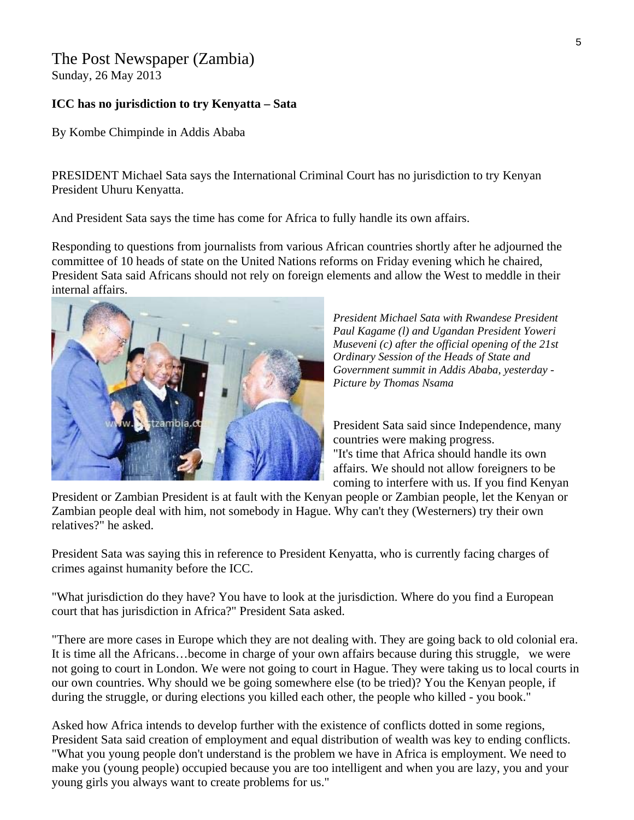# The Post Newspaper (Zambia)

Sunday, 26 May 2013

### **ICC has no jurisdiction to try Kenyatta – Sata**

By Kombe Chimpinde in Addis Ababa

PRESIDENT Michael Sata says the International Criminal Court has no jurisdiction to try Kenyan President Uhuru Kenyatta.

And President Sata says the time has come for Africa to fully handle its own affairs.

Responding to questions from journalists from various African countries shortly after he adjourned the committee of 10 heads of state on the United Nations reforms on Friday evening which he chaired, President Sata said Africans should not rely on foreign elements and allow the West to meddle in their internal affairs.



*President Michael Sata with Rwandese President Paul Kagame (l) and Ugandan President Yoweri Museveni (c) after the official opening of the 21st Ordinary Session of the Heads of State and Government summit in Addis Ababa, yesterday - Picture by Thomas Nsama* 

President Sata said since Independence, many countries were making progress. "It's time that Africa should handle its own affairs. We should not allow foreigners to be coming to interfere with us. If you find Kenyan

President or Zambian President is at fault with the Kenyan people or Zambian people, let the Kenyan or Zambian people deal with him, not somebody in Hague. Why can't they (Westerners) try their own relatives?" he asked.

President Sata was saying this in reference to President Kenyatta, who is currently facing charges of crimes against humanity before the ICC.

"What jurisdiction do they have? You have to look at the jurisdiction. Where do you find a European court that has jurisdiction in Africa?" President Sata asked.

"There are more cases in Europe which they are not dealing with. They are going back to old colonial era. It is time all the Africans…become in charge of your own affairs because during this struggle, we were not going to court in London. We were not going to court in Hague. They were taking us to local courts in our own countries. Why should we be going somewhere else (to be tried)? You the Kenyan people, if during the struggle, or during elections you killed each other, the people who killed - you book."

Asked how Africa intends to develop further with the existence of conflicts dotted in some regions, President Sata said creation of employment and equal distribution of wealth was key to ending conflicts. "What you young people don't understand is the problem we have in Africa is employment. We need to make you (young people) occupied because you are too intelligent and when you are lazy, you and your young girls you always want to create problems for us."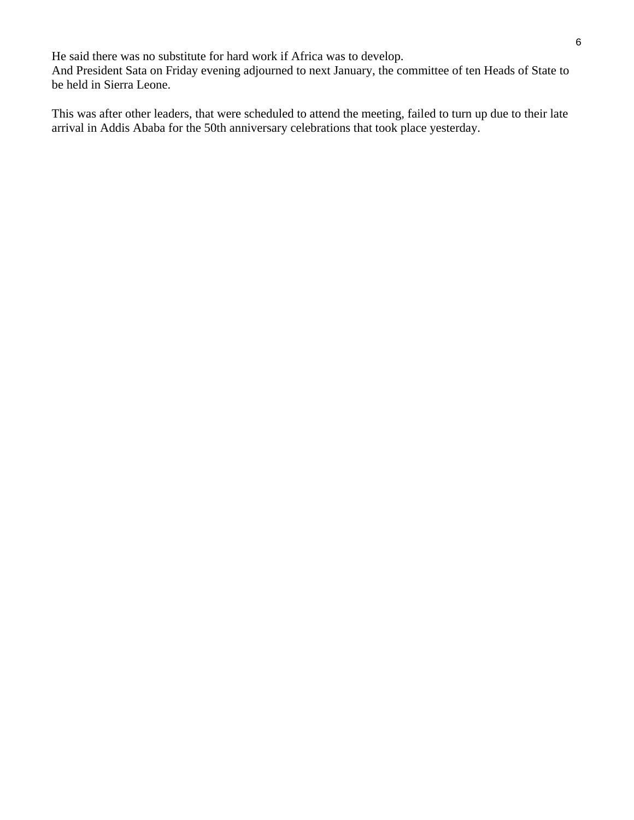He said there was no substitute for hard work if Africa was to develop. And President Sata on Friday evening adjourned to next January, the committee of ten Heads of State to be held in Sierra Leone.

This was after other leaders, that were scheduled to attend the meeting, failed to turn up due to their late arrival in Addis Ababa for the 50th anniversary celebrations that took place yesterday.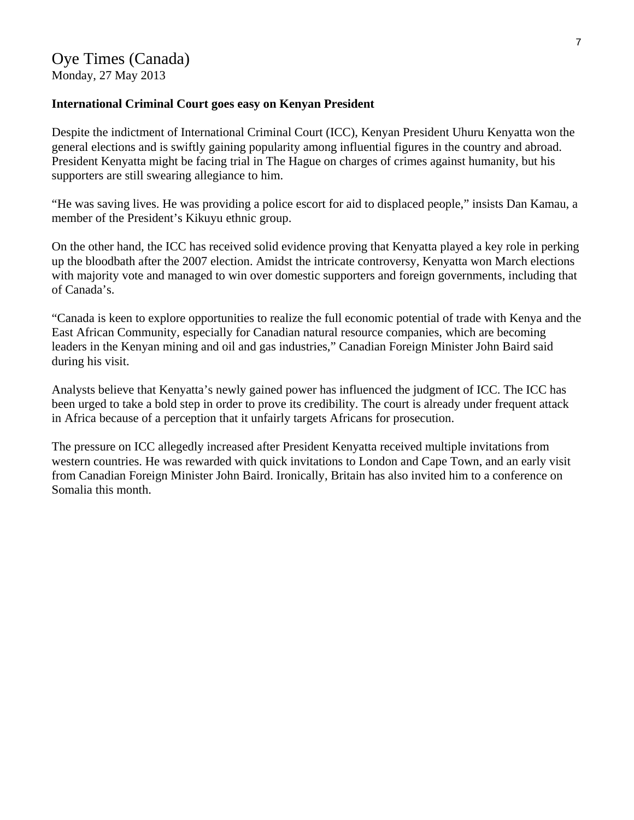Monday, 27 May 2013

### **International Criminal Court goes easy on Kenyan President**

Despite the indictment of International Criminal Court (ICC), Kenyan President Uhuru Kenyatta won the general elections and is swiftly gaining popularity among influential figures in the country and abroad. President Kenyatta might be facing trial in The Hague on charges of crimes against humanity, but his supporters are still swearing allegiance to him.

"He was saving lives. He was providing a police escort for aid to displaced people," insists Dan Kamau, a member of the President's Kikuyu ethnic group.

On the other hand, the ICC has received solid evidence proving that Kenyatta played a key role in perking up the bloodbath after the 2007 election. Amidst the intricate controversy, Kenyatta won March elections with majority vote and managed to win over domestic supporters and foreign governments, including that of Canada's.

"Canada is keen to explore opportunities to realize the full economic potential of trade with Kenya and the East African Community, especially for Canadian natural resource companies, which are becoming leaders in the Kenyan mining and oil and gas industries," Canadian Foreign Minister John Baird said during his visit.

Analysts believe that Kenyatta's newly gained power has influenced the judgment of ICC. The ICC has been urged to take a bold step in order to prove its credibility. The court is already under frequent attack in Africa because of a perception that it unfairly targets Africans for prosecution.

The pressure on ICC allegedly increased after President Kenyatta received multiple invitations from western countries. He was rewarded with quick invitations to London and Cape Town, and an early visit from Canadian Foreign Minister John Baird. Ironically, Britain has also invited him to a conference on Somalia this month.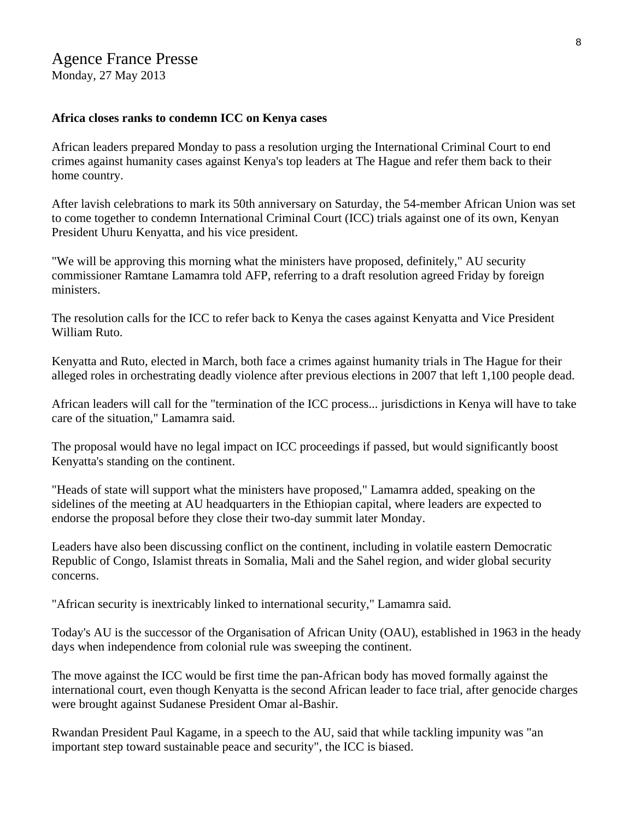## Agence France Presse

Monday, 27 May 2013

#### **Africa closes ranks to condemn ICC on Kenya cases**

African leaders prepared Monday to pass a resolution urging the International Criminal Court to end crimes against humanity cases against Kenya's top leaders at The Hague and refer them back to their home country.

After lavish celebrations to mark its 50th anniversary on Saturday, the 54-member African Union was set to come together to condemn International Criminal Court (ICC) trials against one of its own, Kenyan President Uhuru Kenyatta, and his vice president.

"We will be approving this morning what the ministers have proposed, definitely," AU security commissioner Ramtane Lamamra told AFP, referring to a draft resolution agreed Friday by foreign ministers.

The resolution calls for the ICC to refer back to Kenya the cases against Kenyatta and Vice President William Ruto.

Kenyatta and Ruto, elected in March, both face a crimes against humanity trials in The Hague for their alleged roles in orchestrating deadly violence after previous elections in 2007 that left 1,100 people dead.

African leaders will call for the "termination of the ICC process... jurisdictions in Kenya will have to take care of the situation," Lamamra said.

The proposal would have no legal impact on ICC proceedings if passed, but would significantly boost Kenyatta's standing on the continent.

"Heads of state will support what the ministers have proposed," Lamamra added, speaking on the sidelines of the meeting at AU headquarters in the Ethiopian capital, where leaders are expected to endorse the proposal before they close their two-day summit later Monday.

Leaders have also been discussing conflict on the continent, including in volatile eastern Democratic Republic of Congo, Islamist threats in Somalia, Mali and the Sahel region, and wider global security concerns.

"African security is inextricably linked to international security," Lamamra said.

Today's AU is the successor of the Organisation of African Unity (OAU), established in 1963 in the heady days when independence from colonial rule was sweeping the continent.

The move against the ICC would be first time the pan-African body has moved formally against the international court, even though Kenyatta is the second African leader to face trial, after genocide charges were brought against Sudanese President Omar al-Bashir.

Rwandan President Paul Kagame, in a speech to the AU, said that while tackling impunity was "an important step toward sustainable peace and security", the ICC is biased.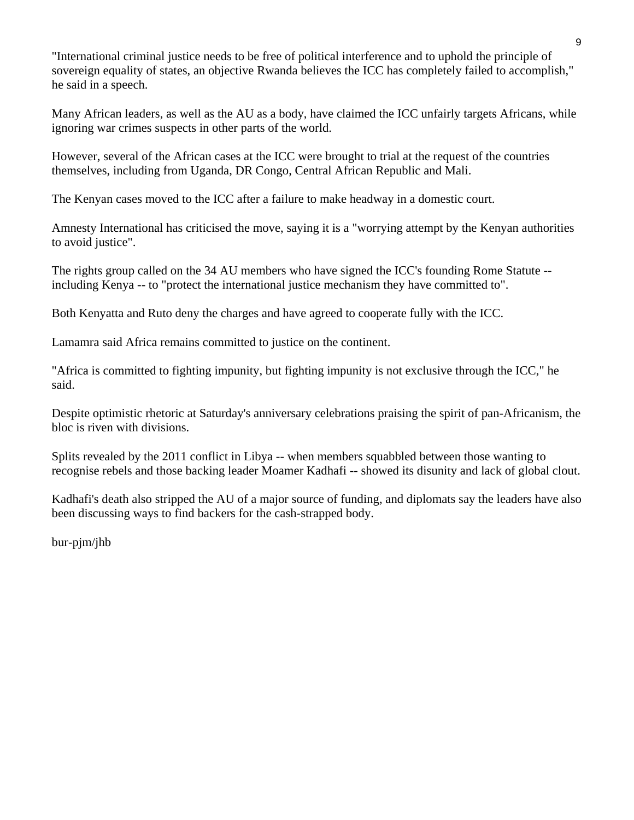"International criminal justice needs to be free of political interference and to uphold the principle of sovereign equality of states, an objective Rwanda believes the ICC has completely failed to accomplish," he said in a speech.

Many African leaders, as well as the AU as a body, have claimed the ICC unfairly targets Africans, while ignoring war crimes suspects in other parts of the world.

However, several of the African cases at the ICC were brought to trial at the request of the countries themselves, including from Uganda, DR Congo, Central African Republic and Mali.

The Kenyan cases moved to the ICC after a failure to make headway in a domestic court.

Amnesty International has criticised the move, saying it is a "worrying attempt by the Kenyan authorities to avoid justice".

The rights group called on the 34 AU members who have signed the ICC's founding Rome Statute - including Kenya -- to "protect the international justice mechanism they have committed to".

Both Kenyatta and Ruto deny the charges and have agreed to cooperate fully with the ICC.

Lamamra said Africa remains committed to justice on the continent.

"Africa is committed to fighting impunity, but fighting impunity is not exclusive through the ICC," he said.

Despite optimistic rhetoric at Saturday's anniversary celebrations praising the spirit of pan-Africanism, the bloc is riven with divisions.

Splits revealed by the 2011 conflict in Libya -- when members squabbled between those wanting to recognise rebels and those backing leader Moamer Kadhafi -- showed its disunity and lack of global clout.

Kadhafi's death also stripped the AU of a major source of funding, and diplomats say the leaders have also been discussing ways to find backers for the cash-strapped body.

bur-pjm/jhb